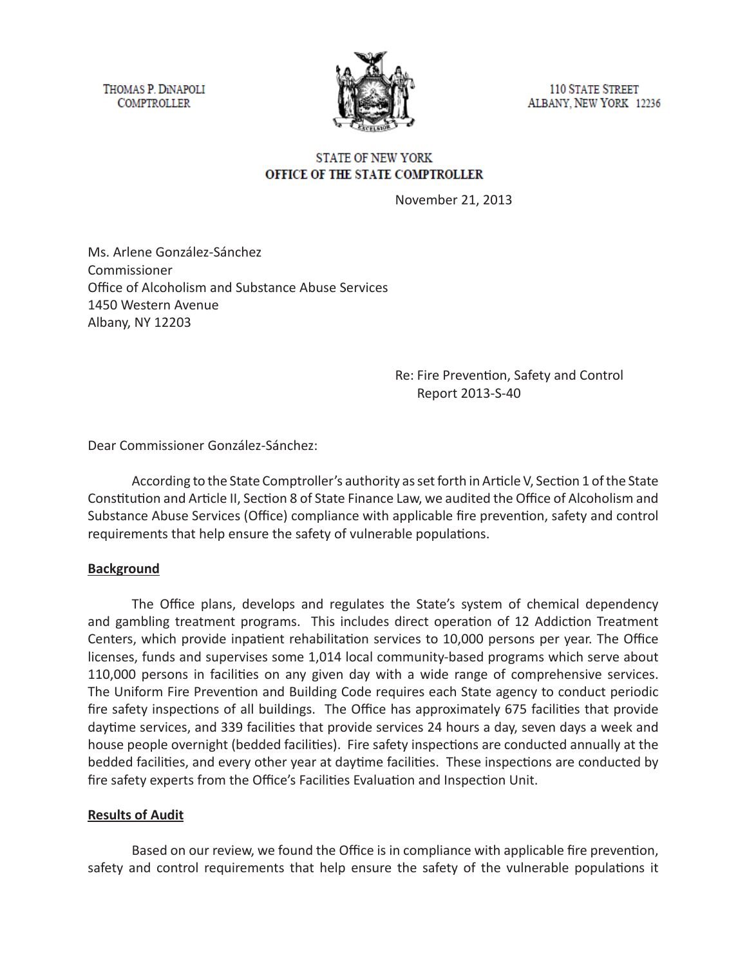THOMAS P. DINAPOLI **COMPTROLLER** 



**110 STATE STREET** ALBANY, NEW YORK 12236

# **STATE OF NEW YORK** OFFICE OF THE STATE COMPTROLLER

November 21, 2013

Ms. Arlene González-Sánchez Commissioner Office of Alcoholism and Substance Abuse Services 1450 Western Avenue Albany, NY 12203

> Re: Fire Prevention, Safety and Control Report 2013-S-40

Dear Commissioner González-Sánchez:

According to the State Comptroller's authority as set forth in Article V, Section 1 of the State Constitution and Article II, Section 8 of State Finance Law, we audited the Office of Alcoholism and Substance Abuse Services (Office) compliance with applicable fire prevention, safety and control requirements that help ensure the safety of vulnerable populations.

## **Background**

The Office plans, develops and regulates the State's system of chemical dependency and gambling treatment programs. This includes direct operation of 12 Addiction Treatment Centers, which provide inpatient rehabilitation services to 10,000 persons per year. The Office licenses, funds and supervises some 1,014 local community-based programs which serve about 110,000 persons in facilities on any given day with a wide range of comprehensive services. The Uniform Fire Prevention and Building Code requires each State agency to conduct periodic fire safety inspections of all buildings. The Office has approximately 675 facilities that provide daytime services, and 339 facilities that provide services 24 hours a day, seven days a week and house people overnight (bedded facilities). Fire safety inspections are conducted annually at the bedded facilities, and every other year at daytime facilities. These inspections are conducted by fire safety experts from the Office's Facilities Evaluation and Inspection Unit.

## **Results of Audit**

Based on our review, we found the Office is in compliance with applicable fire prevention, safety and control requirements that help ensure the safety of the vulnerable populations it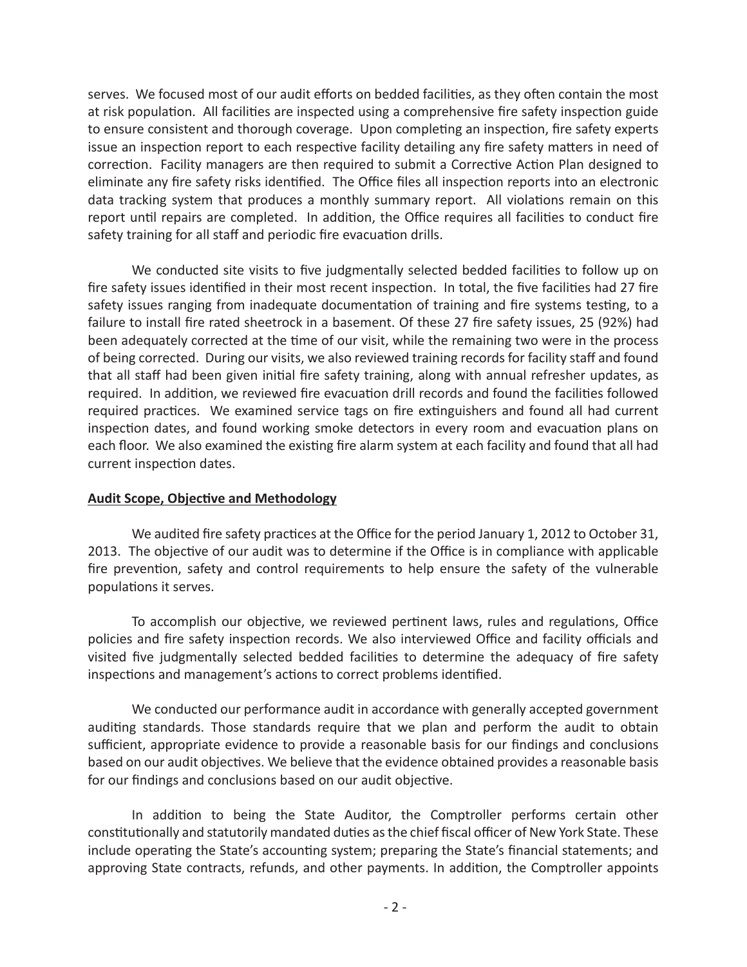serves. We focused most of our audit efforts on bedded facilities, as they often contain the most at risk population. All facilities are inspected using a comprehensive fire safety inspection guide to ensure consistent and thorough coverage. Upon completing an inspection, fire safety experts issue an inspection report to each respective facility detailing any fire safety matters in need of correction. Facility managers are then required to submit a Corrective Action Plan designed to eliminate any fire safety risks identified. The Office files all inspection reports into an electronic data tracking system that produces a monthly summary report. All violations remain on this report until repairs are completed. In addition, the Office requires all facilities to conduct fire safety training for all staff and periodic fire evacuation drills.

We conducted site visits to five judgmentally selected bedded facilities to follow up on fire safety issues identified in their most recent inspection. In total, the five facilities had 27 fire safety issues ranging from inadequate documentation of training and fire systems testing, to a failure to install fire rated sheetrock in a basement. Of these 27 fire safety issues, 25 (92%) had been adequately corrected at the time of our visit, while the remaining two were in the process of being corrected. During our visits, we also reviewed training records for facility staff and found that all staff had been given initial fire safety training, along with annual refresher updates, as required. In addition, we reviewed fire evacuation drill records and found the facilities followed required practices. We examined service tags on fire extinguishers and found all had current inspection dates, and found working smoke detectors in every room and evacuation plans on each floor. We also examined the existing fire alarm system at each facility and found that all had current inspection dates.

## **Audit Scope, Objective and Methodology**

We audited fire safety practices at the Office for the period January 1, 2012 to October 31, 2013. The objective of our audit was to determine if the Office is in compliance with applicable fire prevention, safety and control requirements to help ensure the safety of the vulnerable populations it serves.

To accomplish our objective, we reviewed pertinent laws, rules and regulations, Office policies and fire safety inspection records. We also interviewed Office and facility officials and visited five judgmentally selected bedded facilities to determine the adequacy of fire safety inspections and management's actions to correct problems identified.

We conducted our performance audit in accordance with generally accepted government auditing standards. Those standards require that we plan and perform the audit to obtain sufficient, appropriate evidence to provide a reasonable basis for our findings and conclusions based on our audit objectives. We believe that the evidence obtained provides a reasonable basis for our findings and conclusions based on our audit objective.

In addition to being the State Auditor, the Comptroller performs certain other constitutionally and statutorily mandated duties as the chief fiscal officer of New York State. These include operating the State's accounting system; preparing the State's financial statements; and approving State contracts, refunds, and other payments. In addition, the Comptroller appoints